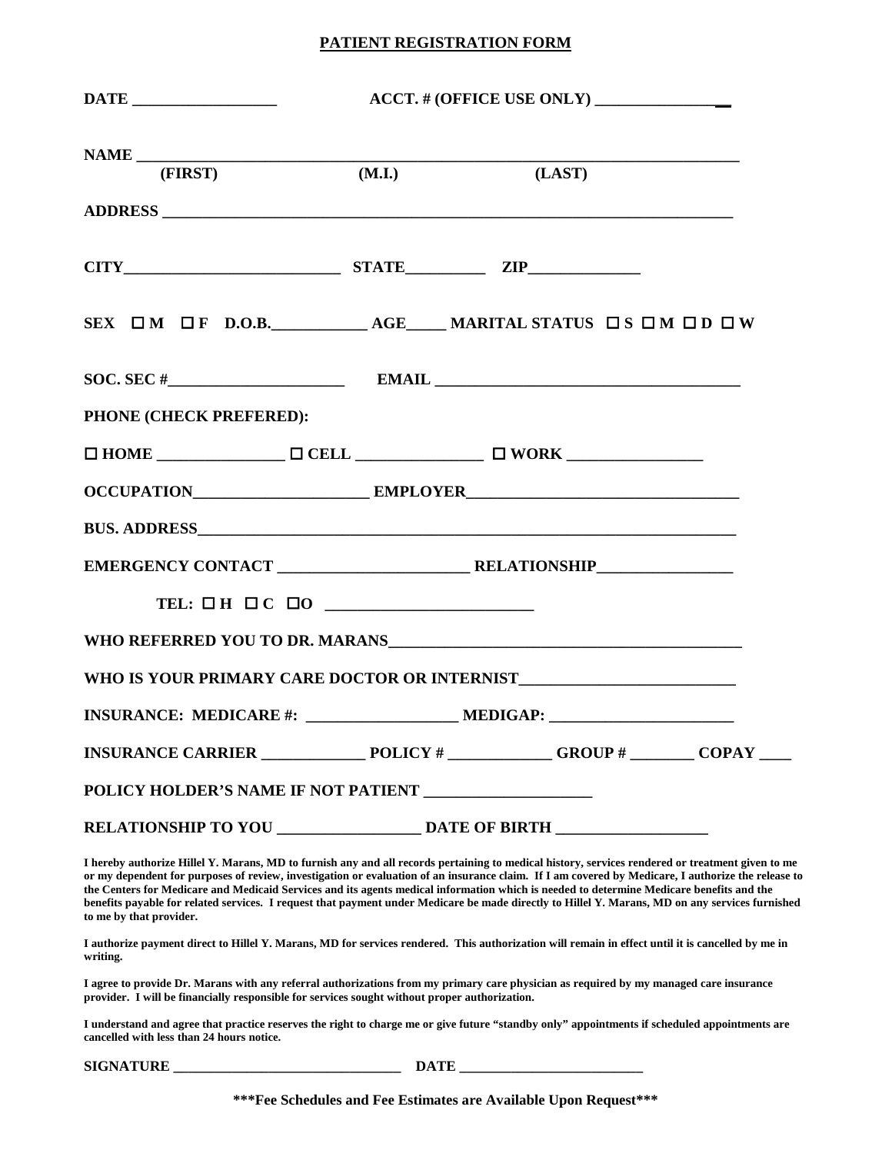## **PATIENT REGISTRATION FORM**

| (FIRST)                                                  | (M.I.) | (LAST)                                                                                                                                                                                                                               |  |
|----------------------------------------------------------|--------|--------------------------------------------------------------------------------------------------------------------------------------------------------------------------------------------------------------------------------------|--|
|                                                          |        |                                                                                                                                                                                                                                      |  |
| $CITY$ $ZIP$                                             |        |                                                                                                                                                                                                                                      |  |
|                                                          |        | SEX $\Box$ M $\Box$ F D.O.B. AGE MARITAL STATUS $\Box$ S $\Box$ M $\Box$ D $\Box$ W                                                                                                                                                  |  |
|                                                          |        |                                                                                                                                                                                                                                      |  |
| PHONE (CHECK PREFERED):                                  |        |                                                                                                                                                                                                                                      |  |
|                                                          |        |                                                                                                                                                                                                                                      |  |
|                                                          |        |                                                                                                                                                                                                                                      |  |
|                                                          |        |                                                                                                                                                                                                                                      |  |
|                                                          |        |                                                                                                                                                                                                                                      |  |
| TEL: $\Box H \Box C \Box 0$                              |        |                                                                                                                                                                                                                                      |  |
|                                                          |        | WHO REFERRED YOU TO DR. MARANS <b>And the CONSTRUCT OF A SET OF A SET OF A SET OF A SET OF A SET OF A SET OF A SET OF A SET OF A SET OF A SET OF A SET OF A SET OF A SET OF A SET OF A SET OF A SET OF A SET OF A SET OF A SET O</b> |  |
|                                                          |        |                                                                                                                                                                                                                                      |  |
|                                                          |        |                                                                                                                                                                                                                                      |  |
|                                                          |        | INSURANCE CARRIER $\_\_\_\_\_\_$ POLICY # $\_\_\_\_\_$ GROUP # $\_\_\_\_\_$ COPAY                                                                                                                                                    |  |
| POLICY HOLDER'S NAME IF NOT PATIENT ____________________ |        |                                                                                                                                                                                                                                      |  |
|                                                          |        |                                                                                                                                                                                                                                      |  |

**I hereby authorize Hillel Y. Marans, MD to furnish any and all records pertaining to medical history, services rendered or treatment given to me or my dependent for purposes of review, investigation or evaluation of an insurance claim. If I am covered by Medicare, I authorize the release to the Centers for Medicare and Medicaid Services and its agents medical information which is needed to determine Medicare benefits and the benefits payable for related services. I request that payment under Medicare be made directly to Hillel Y. Marans, MD on any services furnished to me by that provider.**

**I authorize payment direct to Hillel Y. Marans, MD for services rendered. This authorization will remain in effect until it is cancelled by me in writing.**

**I agree to provide Dr. Marans with any referral authorizations from my primary care physician as required by my managed care insurance provider. I will be financially responsible for services sought without proper authorization.** 

**I understand and agree that practice reserves the right to charge me or give future "standby only" appointments if scheduled appointments are cancelled with less than 24 hours notice.**

**SIGNATURE DATE** 

**\*\*\*Fee Schedules and Fee Estimates are Available Upon Request\*\*\***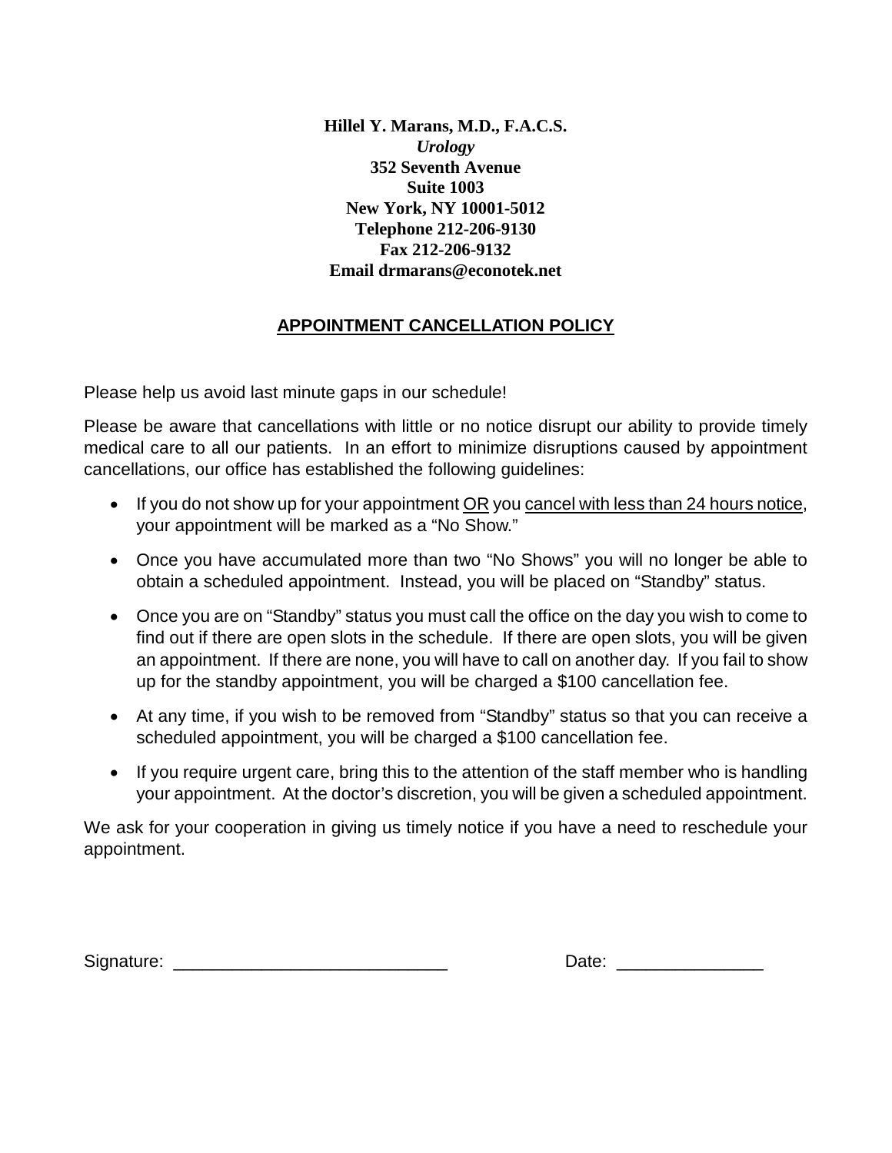**Hillel Y. Marans, M.D., F.A.C.S.**  *Urology*  **352 Seventh Avenue Suite 1003 New York, NY 10001-5012 Telephone 212-206-9130 Fax 212-206-9132 Email drmarans@econotek.net** 

## **APPOINTMENT CANCELLATION POLICY**

Please help us avoid last minute gaps in our schedule!

Please be aware that cancellations with little or no notice disrupt our ability to provide timely medical care to all our patients. In an effort to minimize disruptions caused by appointment cancellations, our office has established the following guidelines:

- If you do not show up for your appointment OR you cancel with less than 24 hours notice, your appointment will be marked as a "No Show."
- Once you have accumulated more than two "No Shows" you will no longer be able to obtain a scheduled appointment. Instead, you will be placed on "Standby" status.
- Once you are on "Standby" status you must call the office on the day you wish to come to find out if there are open slots in the schedule. If there are open slots, you will be given an appointment. If there are none, you will have to call on another day. If you fail to show up for the standby appointment, you will be charged a \$100 cancellation fee.
- At any time, if you wish to be removed from "Standby" status so that you can receive a scheduled appointment, you will be charged a \$100 cancellation fee.
- If you require urgent care, bring this to the attention of the staff member who is handling your appointment. At the doctor's discretion, you will be given a scheduled appointment.

We ask for your cooperation in giving us timely notice if you have a need to reschedule your appointment.

Signature: \_\_\_\_\_\_\_\_

| Date: |  |
|-------|--|
|-------|--|